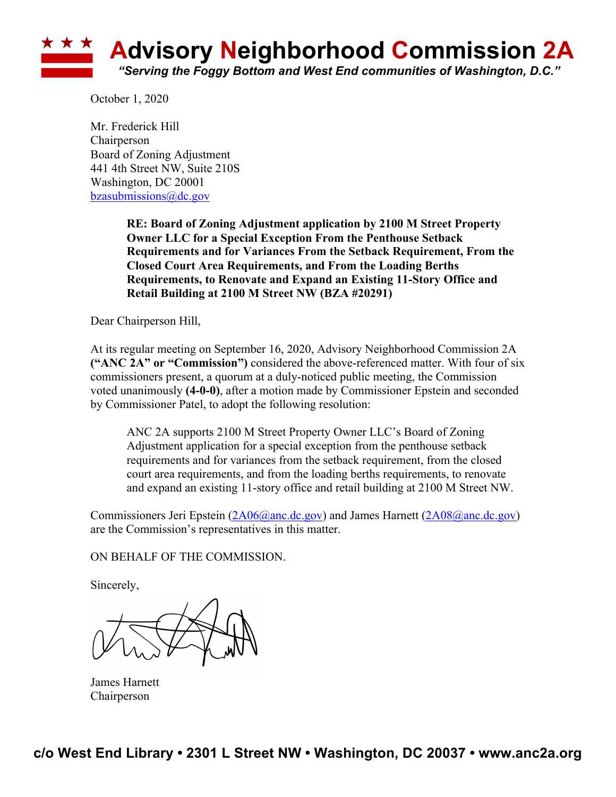

October 1, 2020

Mr. Frederick Hill **Chairperson** Board of Zoning Adjustment 441 4th Street NW, Suite 210S Washington, DC 20001 bzasubmissions@dc.gov

> **RE: Board of Zoning Adjustment application by 2100 M Street Property Owner LLC for a Special Exception From the Penthouse Setback Requirements and for Variances From the Setback Requirement, From the Closed Court Area Requirements, and From the Loading Berths Requirements, to Renovate and Expand an Existing 11-Story Office and Retail Building at 2100 M Street NW (BZA #20291)**

Dear Chairperson Hill,

At its regular meeting on September 16, 2020, Advisory Neighborhood Commission 2A **("ANC 2A" or "Commission")** considered the above-referenced matter. With four of six commissioners present, a quorum at a duly-noticed public meeting, the Commission voted unanimously **(4-0-0)**, after a motion made by Commissioner Epstein and seconded by Commissioner Patel, to adopt the following resolution:

ANC 2A supports 2100 M Street Property Owner LLC's Board of Zoning Adjustment application for a special exception from the penthouse setback requirements and for variances from the setback requirement, from the closed court area requirements, and from the loading berths requirements, to renovate and expand an existing 11-story office and retail building at 2100 M Street NW.

Commissioners Jeri Epstein (2A06@anc.dc.gov) and James Harnett (2A08@anc.dc.gov) are the Commission's representatives in this matter.

## ON BEHALF OF THE COMMISSION.

Sincerely,

James Harnett Chairperson